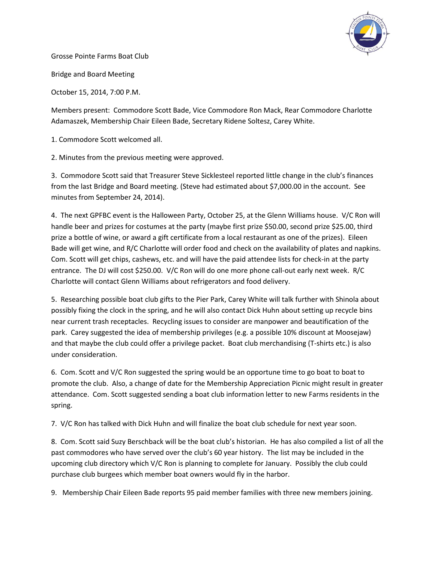

Grosse Pointe Farms Boat Club

Bridge and Board Meeting

October 15, 2014, 7:00 P.M.

Members present: Commodore Scott Bade, Vice Commodore Ron Mack, Rear Commodore Charlotte Adamaszek, Membership Chair Eileen Bade, Secretary Ridene Soltesz, Carey White.

1. Commodore Scott welcomed all.

2. Minutes from the previous meeting were approved.

3. Commodore Scott said that Treasurer Steve Sicklesteel reported little change in the club's finances from the last Bridge and Board meeting. (Steve had estimated about \$7,000.00 in the account. See minutes from September 24, 2014).

4. The next GPFBC event is the Halloween Party, October 25, at the Glenn Williams house. V/C Ron will handle beer and prizes for costumes at the party (maybe first prize \$50.00, second prize \$25.00, third prize a bottle of wine, or award a gift certificate from a local restaurant as one of the prizes). Eileen Bade will get wine, and R/C Charlotte will order food and check on the availability of plates and napkins. Com. Scott will get chips, cashews, etc. and will have the paid attendee lists for check-in at the party entrance. The DJ will cost \$250.00. V/C Ron will do one more phone call-out early next week. R/C Charlotte will contact Glenn Williams about refrigerators and food delivery.

5. Researching possible boat club gifts to the Pier Park, Carey White will talk further with Shinola about possibly fixing the clock in the spring, and he will also contact Dick Huhn about setting up recycle bins near current trash receptacles. Recycling issues to consider are manpower and beautification of the park. Carey suggested the idea of membership privileges (e.g. a possible 10% discount at Moosejaw) and that maybe the club could offer a privilege packet. Boat club merchandising (T-shirts etc.) is also under consideration.

6. Com. Scott and V/C Ron suggested the spring would be an opportune time to go boat to boat to promote the club. Also, a change of date for the Membership Appreciation Picnic might result in greater attendance. Com. Scott suggested sending a boat club information letter to new Farms residents in the spring.

7. V/C Ron has talked with Dick Huhn and will finalize the boat club schedule for next year soon.

8. Com. Scott said Suzy Berschback will be the boat club's historian. He has also compiled a list of all the past commodores who have served over the club's 60 year history. The list may be included in the upcoming club directory which V/C Ron is planning to complete for January. Possibly the club could purchase club burgees which member boat owners would fly in the harbor.

9. Membership Chair Eileen Bade reports 95 paid member families with three new members joining.